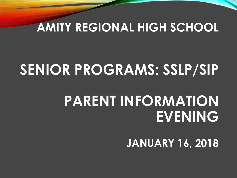#### **AMITY REGIONAL HIGH SCHOOL**

## **SENIOR PROGRAMS: SSLP/SIP**

## **PARENT INFORMATION EVENING**

**JANUARY 16, 2018**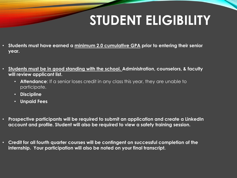## **STUDENT ELIGIBILITY**

- **Students must have earned a minimum 2.0 cumulative GPA prior to entering their senior year.**
- **Students must be in good standing with the school. Administration, counselors, & faculty will review applicant list.**
	- **Attendance**: If a senior loses credit in any class this year, they are unable to participate.
	- **Discipline**
	- **Unpaid Fees**
- **Prospective participants will be required to submit an application and create a LinkedIn account and profile. Student will also be required to view a safety training session.**
- **Credit for all fourth quarter courses will be contingent on successful completion of the internship. Your participation will also be noted on your final transcript.**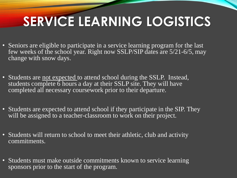# **SERVICE LEARNING LOGISTICS**

- Seniors are eligible to participate in a service learning program for the last few weeks of the school year. Right now SSLP/SIP dates are 5/21-6/5, may change with snow days.
- Students are not expected to attend school during the SSLP. Instead, students complete  $\hat{6}$  hours a day at their SSLP site. They will have completed all necessary coursework prior to their departure.
- Students are expected to attend school if they participate in the SIP. They will be assigned to a teacher-classroom to work on their project.
- Students will return to school to meet their athletic, club and activity commitments.
- Students must make outside commitments known to service learning sponsors prior to the start of the program.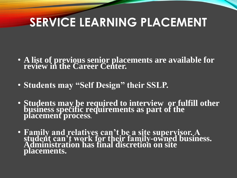## **SERVICE LEARNING PLACEMENT**

- **A list of previous senior placements are available for review in the Career Center.**
- **Students may "Self Design" their SSLP.**
- **Students may be required to interview or fulfill other business specific requirements as part of the placement process.**
- **Family and relatives can't be a site supervisor. A student can't work for their family-owned business. Administration has final discretion on site placements.**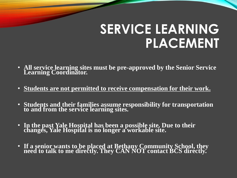## **SERVICE LEARNING PLACEMENT**

- **All service learning sites must be pre-approved by the Senior Service Learning Coordinator.**
- **Students are not permitted to receive compensation for their work.**
- **Students and their families assume responsibility for transportation to and from the service learning sites.**
- **In the past Yale Hospital has been a possible site. Due to their changes, Yale Hospital is no longer a workable site.**
- **If a senior wants to be placed at Bethany Community School, they need to talk to me directly. They CAN NOT contact BCS directly.**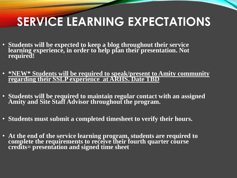## **SERVICE LEARNING EXPECTATIONS**

- **Students will be expected to keep a blog throughout their service learning experience, in order to help plan their presentation. Not required!**
- **\*NEW\* Students will be required to speak/present to Amity community regarding their SSLP experience at ARHS. Date TBD**
- **Students will be required to maintain regular contact with an assigned Amity and Site Staff Advisor throughout the program.**
- **Students must submit a completed timesheet to verify their hours.**
- **At the end of the service learning program, students are required to complete the requirements to receive their fourth quarter course credits= presentation and signed time sheet**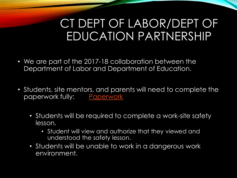### CT DEPT OF LABOR/DEPT OF EDUCATION PARTNERSHIP

- We are part of the 2017-18 collaboration between the Department of Labor and Department of Education.
- Students, site mentors, and parents will need to complete the paperwork fully: [Paperwork](file:///C:/Users/watermanka/Downloads/Student Agreements.addedniumpdf (1).pdf)
	- Students will be required to complete a work-site safety lesson.
		- Student will view and authorize that they viewed and understood the safety lesson.
	- Students will be unable to work in a dangerous work environment.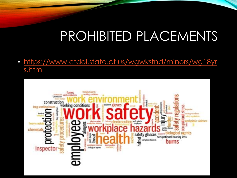## PROHIBITED PLACEMENTS

• [https://www.ctdol.state.ct.us/wgwkstnd/minors/wg18yr](https://www.ctdol.state.ct.us/wgwkstnd/minors/wg18yrs.htm) s.htm

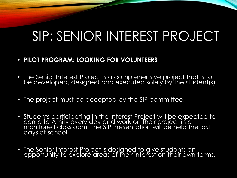## SIP: SENIOR INTEREST PROJECT

#### • **PILOT PROGRAM: LOOKING FOR VOLUNTEERS**

- $\bullet~$  The Senior Interest Project is a comprehensive project that is to . be developed, designed and executed solely by the student(s).
- The project must be accepted by the SIP committee.
- Students participating in the Interest Project will be expected to come to Amity every day and work on their project in a monitored classroom. The SIP Presentation will be held the last days of school.
- The Senior Interest Project is designed to give students an opportunity to explore areas of their interest on their own terms.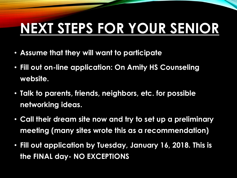# **NEXT STEPS FOR YOUR SENIOR**

- **Assume that they will want to participate**
- **Fill out on-line application: On Amity HS Counseling website.**
- **Talk to parents, friends, neighbors, etc. for possible networking ideas.**
- **Call their dream site now and try to set up a preliminary meeting (many sites wrote this as a recommendation)**
- **Fill out application by Tuesday, January 16, 2018. This is the FINAL day- NO EXCEPTIONS**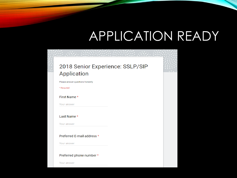## APPLICATION READY

#### 2018 Senior Experience: SSLP/SIP Application

Please answer questions honestly

\* Required

First Name \*

Your answer

Last Name \*

Your answer

#### Preferred E-mail address \*

Your answer

#### Preferred phone number \*

Your answer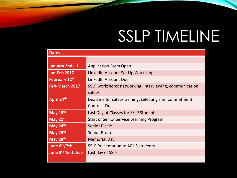# SSLP TIMELINE

| <b>Dates</b>                         |                                                          |
|--------------------------------------|----------------------------------------------------------|
|                                      |                                                          |
| January 2nd-11 <sup>th</sup>         | <b>Application Form Open</b>                             |
| <b>Jan-Feb 2017</b>                  | LinkedIn Account Set Up Workshops.                       |
| February 12th                        | LinkedIn Account Due                                     |
| Feb-March 2017                       | SSLP workshops: networking, interviewing, communication, |
|                                      | safety                                                   |
| April 24th                           | Deadline for safety training, selecting site, Commitment |
|                                      | <b>Contract Due</b>                                      |
| May 18th                             | Last Day of Classes for SSLP Students                    |
| May 21st                             | <b>Start of Senior Service Learning Program</b>          |
| May 24th                             | <b>Senior Picnic</b>                                     |
| May 25th                             | <b>Senior Prom</b>                                       |
| May 28th                             | <b>Memorial Day</b>                                      |
| June 6th/7th                         | <b>SSLP Presentation to ARHS students</b>                |
| <b>June 5<sup>th</sup> Tentative</b> | Last day of SSLP                                         |
|                                      |                                                          |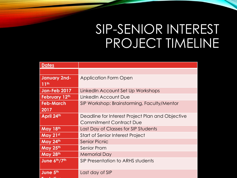## SIP-SENIOR INTEREST PROJECT TIMELINE

| <b>Dates</b>        |                                                  |
|---------------------|--------------------------------------------------|
|                     |                                                  |
| <b>January 2nd-</b> | <b>Application Form Open</b>                     |
| 11 <sup>th</sup>    |                                                  |
| <b>Jan-Feb 2017</b> | LinkedIn Account Set Up Workshops                |
| February 12th       | LinkedIn Account Due                             |
| <b>Feb-March</b>    | SIP Workshop: Brainstorming, Faculty/Mentor      |
| 2017                |                                                  |
| April 24th          | Deadline for Interest Project Plan and Objective |
|                     | <b>Commitment Contract Due</b>                   |
| May 18th            | Last Day of Classes for SIP Students             |
| May 21st            | <b>Start of Senior Interest Project</b>          |
| May 24th            | <b>Senior Picnic</b>                             |
| May 25th            | Senior Prom                                      |
| May 28th            | <b>Memorial Day</b>                              |
| June 6th/7th        | SIP Presentation to ARHS students                |
|                     |                                                  |
| June 5th            | Last day of SIP                                  |
|                     |                                                  |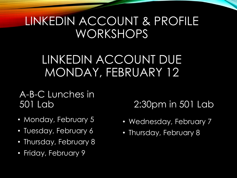### LINKEDIN ACCOUNT & PROFILE WORKSHOPS

### LINKEDIN ACCOUNT DUE MONDAY, FEBRUARY 12

A-B-C Lunches in 501 Lab

- Monday, February 5
- Tuesday, February 6
- Thursday, February 8
- Friday, February 9

2:30pm in 501 Lab

- Wednesday, February 7
- Thursday, February 8